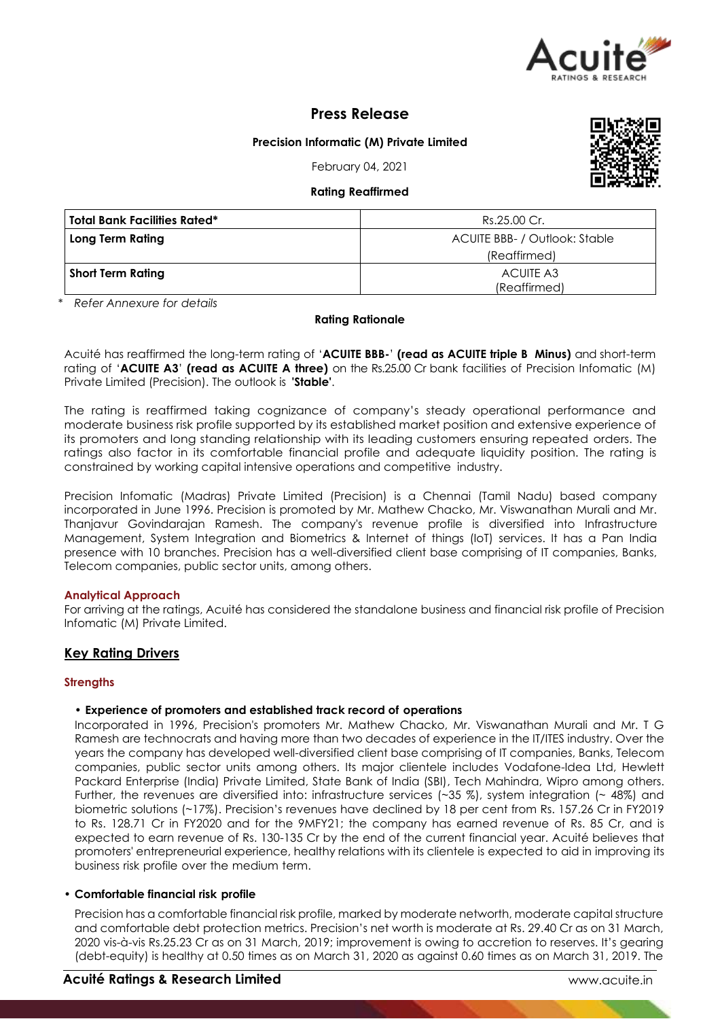

# **Press Release**

# **Precision Informatic (M) Private Limited**

February 04, 2021

#### **Rating Reaffirmed**

| <b>Total Bank Facilities Rated*</b> | Rs.25.00 Cr.                         |  |  |
|-------------------------------------|--------------------------------------|--|--|
| Long Term Rating                    | <b>ACUITE BBB- / Outlook: Stable</b> |  |  |
|                                     | (Reaffirmed)                         |  |  |
| Short Term Rating                   | ACUITE A3<br>(Reaffirmed)            |  |  |

*\* Refer Annexure for details*

#### **Rating Rationale**

Acuité has reaffirmed the long-term rating of '**ACUITE BBB-**' **(read as ACUITE triple B Minus)** and short-term rating of '**ACUITE A3**' **(read as ACUITE A three)** on the Rs.25.00 Cr bank facilities of Precision Infomatic (M) Private Limited (Precision). The outlook is **'Stable'**.

The rating is reaffirmed taking cognizance of company's steady operational performance and moderate business risk profile supported by its established market position and extensive experience of its promoters and long standing relationship with its leading customers ensuring repeated orders. The ratings also factor in its comfortable financial profile and adequate liquidity position. The rating is constrained by working capital intensive operations and competitive industry.

Precision Infomatic (Madras) Private Limited (Precision) is a Chennai (Tamil Nadu) based company incorporated in June 1996. Precision is promoted by Mr. Mathew Chacko, Mr. Viswanathan Murali and Mr. Thanjavur Govindarajan Ramesh. The company's revenue profile is diversified into Infrastructure Management, System Integration and Biometrics & Internet of things (IoT) services. It has a Pan India presence with 10 branches. Precision has a well-diversified client base comprising of IT companies, Banks, Telecom companies, public sector units, among others.

#### **Analytical Approach**

For arriving at the ratings, Acuité has considered the standalone business and financial risk profile of Precision Infomatic (M) Private Limited.

# **Key Rating Drivers**

#### **Strengths**

#### • **Experience of promoters and established track record of operations**

Incorporated in 1996, Precision's promoters Mr. Mathew Chacko, Mr. Viswanathan Murali and Mr. T G Ramesh are technocrats and having more than two decades of experience in the IT/ITES industry. Over the years the company has developed well-diversified client base comprising of IT companies, Banks, Telecom companies, public sector units among others. Its major clientele includes Vodafone-Idea Ltd, Hewlett Packard Enterprise (India) Private Limited, State Bank of India (SBI), Tech Mahindra, Wipro among others. Further, the revenues are diversified into: infrastructure services (~35 %), system integration (~ 48%) and biometric solutions (~17%). Precision's revenues have declined by 18 per cent from Rs. 157.26 Cr in FY2019 to Rs. 128.71 Cr in FY2020 and for the 9MFY21; the company has earned revenue of Rs. 85 Cr, and is expected to earn revenue of Rs. 130-135 Cr by the end of the current financial year. Acuité believes that promoters' entrepreneurial experience, healthy relations with its clientele is expected to aid in improving its business risk profile over the medium term.

#### • **Comfortable financial risk profile**

Precision has a comfortable financial risk profile, marked by moderate networth, moderate capital structure and comfortable debt protection metrics. Precision's net worth is moderate at Rs. 29.40 Cr as on 31 March, 2020 vis-à-vis Rs.25.23 Cr as on 31 March, 2019; improvement is owing to accretion to reserves. It's gearing (debt-equity) is healthy at 0.50 times as on March 31, 2020 as against 0.60 times as on March 31, 2019. The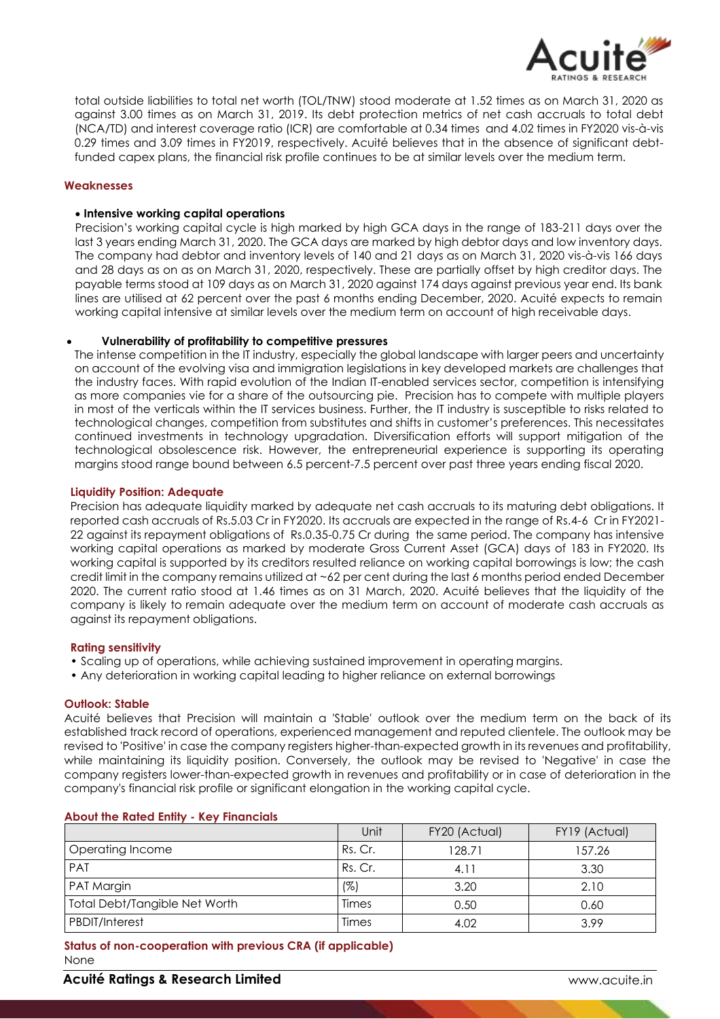

total outside liabilities to total net worth (TOL/TNW) stood moderate at 1.52 times as on March 31, 2020 as against 3.00 times as on March 31, 2019. Its debt protection metrics of net cash accruals to total debt (NCA/TD) and interest coverage ratio (ICR) are comfortable at 0.34 times and 4.02 times in FY2020 vis-à-vis 0.29 times and 3.09 times in FY2019, respectively. Acuité believes that in the absence of significant debtfunded capex plans, the financial risk profile continues to be at similar levels over the medium term.

#### **Weaknesses**

#### **Intensive working capital operations**

Precision's working capital cycle is high marked by high GCA days in the range of 183-211 days over the last 3 years ending March 31, 2020. The GCA days are marked by high debtor days and low inventory days. The company had debtor and inventory levels of 140 and 21 days as on March 31, 2020 vis-à-vis 166 days and 28 days as on as on March 31, 2020, respectively. These are partially offset by high creditor days. The payable terms stood at 109 days as on March 31, 2020 against 174 days against previous year end. Its bank lines are utilised at 62 percent over the past 6 months ending December, 2020. Acuité expects to remain working capital intensive at similar levels over the medium term on account of high receivable days.

### **Vulnerability of profitability to competitive pressures**

The intense competition in the IT industry, especially the global landscape with larger peers and uncertainty on account of the evolving visa and immigration legislations in key developed markets are challenges that the industry faces. With rapid evolution of the Indian IT-enabled services sector, competition is intensifying as more companies vie for a share of the outsourcing pie. Precision has to compete with multiple players in most of the verticals within the IT services business. Further, the IT industry is susceptible to risks related to technological changes, competition from substitutes and shifts in customer's preferences. This necessitates continued investments in technology upgradation. Diversification efforts will support mitigation of the technological obsolescence risk. However, the entrepreneurial experience is supporting its operating margins stood range bound between 6.5 percent-7.5 percent over past three years ending fiscal 2020.

#### **Liquidity Position: Adequate**

Precision has adequate liquidity marked by adequate net cash accruals to its maturing debt obligations. It reported cash accruals of Rs.5.03 Cr in FY2020. Its accruals are expected in the range of Rs.4-6 Cr in FY2021- 22 against its repayment obligations of Rs.0.35-0.75 Cr during the same period. The company has intensive working capital operations as marked by moderate Gross Current Asset (GCA) days of 183 in FY2020. Its working capital is supported by its creditors resulted reliance on working capital borrowings is low; the cash credit limit in the company remains utilized at ~62 per cent during the last 6 months period ended December 2020. The current ratio stood at 1.46 times as on 31 March, 2020. Acuité believes that the liquidity of the company is likely to remain adequate over the medium term on account of moderate cash accruals as against its repayment obligations.

#### **Rating sensitivity**

- Scaling up of operations, while achieving sustained improvement in operating margins.
- Any deterioration in working capital leading to higher reliance on external borrowings

#### **Outlook: Stable**

Acuité believes that Precision will maintain a 'Stable' outlook over the medium term on the back of its established track record of operations, experienced management and reputed clientele. The outlook may be revised to 'Positive' in case the company registers higher-than-expected growth in its revenues and profitability, while maintaining its liquidity position. Conversely, the outlook may be revised to 'Negative' in case the company registers lower-than-expected growth in revenues and profitability or in case of deterioration in the company's financial risk profile or significant elongation in the working capital cycle.

|                               | Unit    | FY20 (Actual) | FY19 (Actual) |
|-------------------------------|---------|---------------|---------------|
| Operating Income              | Rs. Cr. | 128.71        | 157.26        |
| <b>PAT</b>                    | Rs. Cr. | 4.11          | 3.30          |
| PAT Margin                    | $(\%)$  | 3.20          | 2.10          |
| Total Debt/Tangible Net Worth | Times   | 0.50          | 0.60          |
| PBDIT/Interest                | Times   | 4.02          | 3.99          |

#### **About the Rated Entity - Key Financials**

**Status of non-cooperation with previous CRA (if applicable)** None

### **Acuité Ratings & Research Limited** www.acuite.in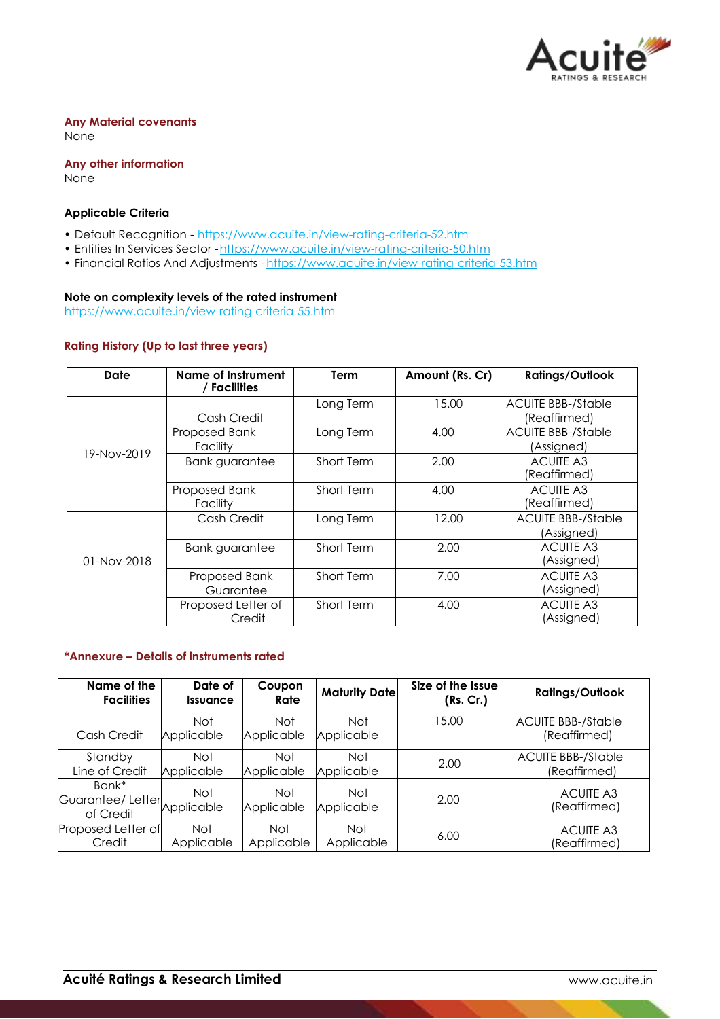

#### **Any Material covenants**  None

**Any other information** None

# **Applicable Criteria**

- Default Recognition https://www.acuite.in/view-rating-criteria-52.htm
- Entities In Services Sector -https://www.acuite.in/view-rating-criteria-50.htm
- Financial Ratios And Adjustments https://www.acuite.in/view-rating-criteria-53.htm

# **Note on complexity levels of the rated instrument**

https://www.acuite.in/view-rating-criteria-55.htm

### **Rating History (Up to last three years)**

| <b>Date</b>   | <b>Name of Instrument</b><br>/ Facilities | Term       | Amount (Rs. Cr) | <b>Ratings/Outlook</b>                    |
|---------------|-------------------------------------------|------------|-----------------|-------------------------------------------|
| 19-Nov-2019   | Cash Credit                               | Long Term  | 15.00           | <b>ACUITE BBB-/Stable</b><br>(Reaffirmed) |
|               | Proposed Bank<br>Facility                 | Long Term  | 4.00            | <b>ACUITE BBB-/Stable</b><br>(Assigned)   |
|               | <b>Bank guarantee</b>                     | Short Term | 2.00            | <b>ACUITE A3</b><br>(Reaffirmed)          |
|               | Proposed Bank<br>Facility                 | Short Term | 4.00            | <b>ACUITE A3</b><br>(Reaffirmed)          |
| $01-Nov-2018$ | Cash Credit                               | Long Term  | 12.00           | <b>ACUITE BBB-/Stable</b><br>(Assigned)   |
|               | <b>Bank guarantee</b>                     | Short Term | 2.00            | <b>ACUITE A3</b><br>(Assigned)            |
|               | Proposed Bank<br>Guarantee                | Short Term | 7.00            | <b>ACUITE A3</b><br>(Assigned)            |
|               | Proposed Letter of<br>Credit              | Short Term | 4.00            | <b>ACUITE A3</b><br>(Assigned)            |

# **\*Annexure – Details of instruments rated**

| Name of the<br><b>Facilities</b>       | Date of<br><i><u><b>Issuance</b></u></i> | Coupon<br>Rate    | <b>Maturity Date</b> | Size of the Issuel<br>(Rs. Cr.) | <b>Ratings/Outlook</b>                    |
|----------------------------------------|------------------------------------------|-------------------|----------------------|---------------------------------|-------------------------------------------|
| Cash Credit                            | <b>Not</b><br>Applicable                 | Not<br>Applicable | Not<br>Applicable    | 15.00                           | <b>ACUITE BBB-/Stable</b><br>(Reaffirmed) |
| Standby<br>Line of Credit              | <b>Not</b><br>Applicable                 | Not<br>Applicable | Not<br>Applicable    | 2.00                            | <b>ACUITE BBB-/Stable</b><br>(Reaffirmed) |
| Bank*<br>Guarantee/Letter<br>of Credit | <b>Not</b><br>Applicable                 | Not<br>Applicable | Not<br>Applicable    | 2.00                            | <b>ACUITE A3</b><br>(Reaffirmed)          |
| Proposed Letter of<br>Credit           | <b>Not</b><br>Applicable                 | Not<br>Applicable | Not<br>Applicable    | 6.00                            | <b>ACUITE A3</b><br>(Reaffirmed)          |